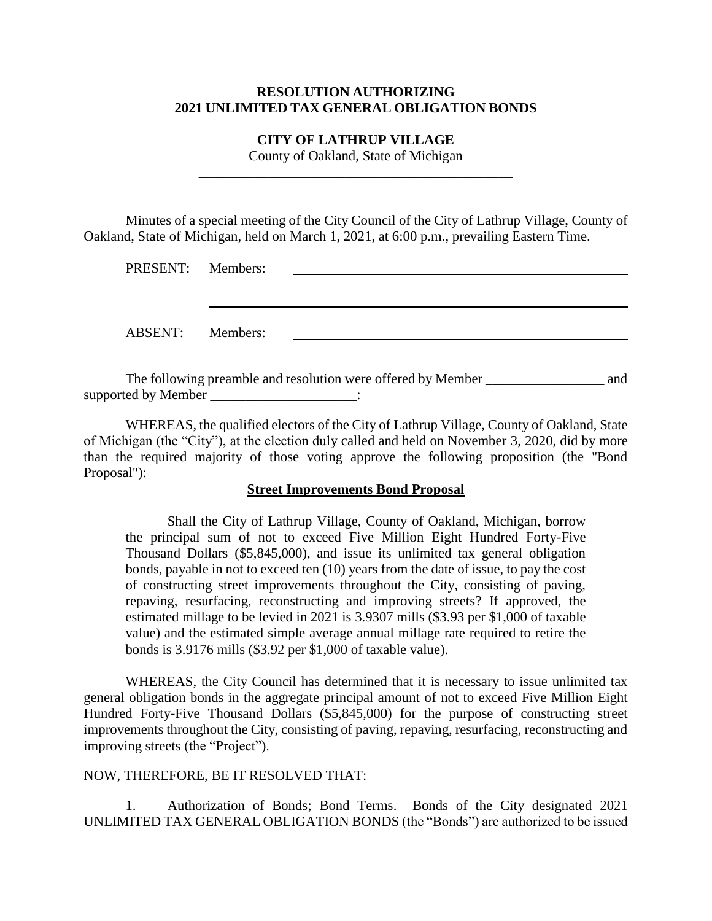## **RESOLUTION AUTHORIZING 2021 UNLIMITED TAX GENERAL OBLIGATION BONDS**

### **CITY OF LATHRUP VILLAGE** County of Oakland, State of Michigan

\_\_\_\_\_\_\_\_\_\_\_\_\_\_\_\_\_\_\_\_\_\_\_\_\_\_\_\_\_\_\_\_\_\_\_\_\_\_\_\_\_\_\_\_\_

Minutes of a special meeting of the City Council of the City of Lathrup Village, County of Oakland, State of Michigan, held on March 1, 2021, at 6:00 p.m., prevailing Eastern Time.

| PRESENT: Members: |  |
|-------------------|--|
|                   |  |
|                   |  |
|                   |  |
| ABSENT: Members:  |  |
|                   |  |
|                   |  |

The following preamble and resolution were offered by Member  $\qquad$  and supported by Member  $\cdot$ 

WHEREAS, the qualified electors of the City of Lathrup Village, County of Oakland, State of Michigan (the "City"), at the election duly called and held on November 3, 2020, did by more than the required majority of those voting approve the following proposition (the "Bond Proposal"):

#### **Street Improvements Bond Proposal**

Shall the City of Lathrup Village, County of Oakland, Michigan, borrow the principal sum of not to exceed Five Million Eight Hundred Forty-Five Thousand Dollars (\$5,845,000), and issue its unlimited tax general obligation bonds, payable in not to exceed ten (10) years from the date of issue, to pay the cost of constructing street improvements throughout the City, consisting of paving, repaving, resurfacing, reconstructing and improving streets? If approved, the estimated millage to be levied in 2021 is 3.9307 mills (\$3.93 per \$1,000 of taxable value) and the estimated simple average annual millage rate required to retire the bonds is 3.9176 mills (\$3.92 per \$1,000 of taxable value).

WHEREAS, the City Council has determined that it is necessary to issue unlimited tax general obligation bonds in the aggregate principal amount of not to exceed Five Million Eight Hundred Forty-Five Thousand Dollars  $(\$5,845,000)$  for the purpose of constructing street improvements throughout the City, consisting of paving, repaving, resurfacing, reconstructing and improving streets (the "Project").

## NOW, THEREFORE, BE IT RESOLVED THAT:

1. Authorization of Bonds; Bond Terms. Bonds of the City designated 2021 UNLIMITED TAX GENERAL OBLIGATION BONDS (the "Bonds") are authorized to be issued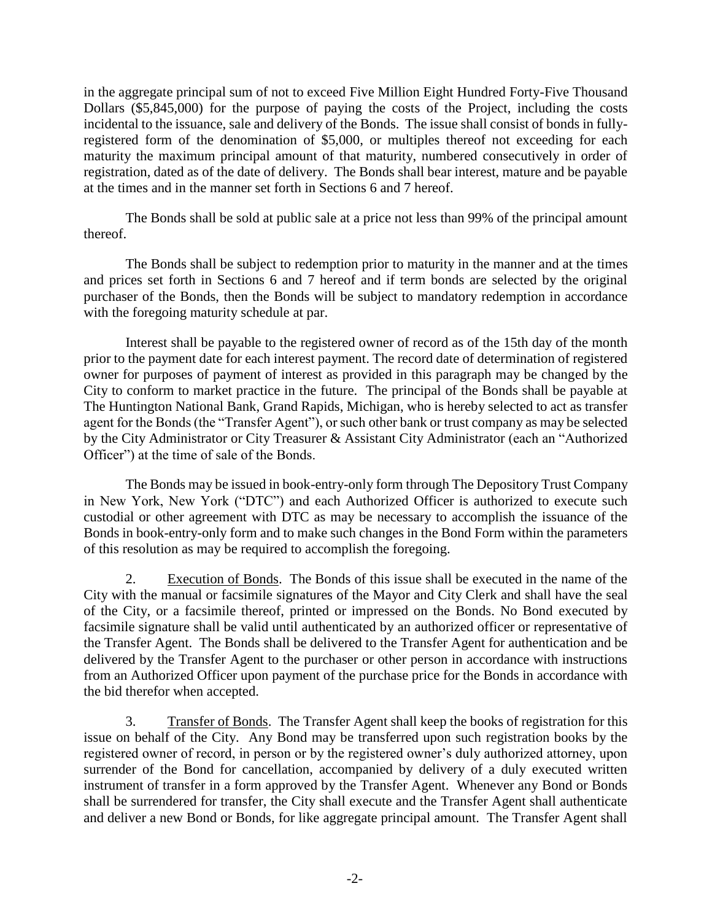in the aggregate principal sum of not to exceed Five Million Eight Hundred Forty-Five Thousand Dollars (\$5,845,000) for the purpose of paying the costs of the Project, including the costs incidental to the issuance, sale and delivery of the Bonds. The issue shall consist of bonds in fullyregistered form of the denomination of \$5,000, or multiples thereof not exceeding for each maturity the maximum principal amount of that maturity, numbered consecutively in order of registration, dated as of the date of delivery. The Bonds shall bear interest, mature and be payable at the times and in the manner set forth in Sections 6 and 7 hereof.

The Bonds shall be sold at public sale at a price not less than 99% of the principal amount thereof.

The Bonds shall be subject to redemption prior to maturity in the manner and at the times and prices set forth in Sections 6 and 7 hereof and if term bonds are selected by the original purchaser of the Bonds, then the Bonds will be subject to mandatory redemption in accordance with the foregoing maturity schedule at par.

Interest shall be payable to the registered owner of record as of the 15th day of the month prior to the payment date for each interest payment. The record date of determination of registered owner for purposes of payment of interest as provided in this paragraph may be changed by the City to conform to market practice in the future. The principal of the Bonds shall be payable at The Huntington National Bank, Grand Rapids, Michigan, who is hereby selected to act as transfer agent for the Bonds (the "Transfer Agent"), or such other bank or trust company as may be selected by the City Administrator or City Treasurer & Assistant City Administrator (each an "Authorized Officer") at the time of sale of the Bonds.

The Bonds may be issued in book-entry-only form through The Depository Trust Company in New York, New York ("DTC") and each Authorized Officer is authorized to execute such custodial or other agreement with DTC as may be necessary to accomplish the issuance of the Bonds in book-entry-only form and to make such changes in the Bond Form within the parameters of this resolution as may be required to accomplish the foregoing.

2. Execution of Bonds. The Bonds of this issue shall be executed in the name of the City with the manual or facsimile signatures of the Mayor and City Clerk and shall have the seal of the City, or a facsimile thereof, printed or impressed on the Bonds. No Bond executed by facsimile signature shall be valid until authenticated by an authorized officer or representative of the Transfer Agent. The Bonds shall be delivered to the Transfer Agent for authentication and be delivered by the Transfer Agent to the purchaser or other person in accordance with instructions from an Authorized Officer upon payment of the purchase price for the Bonds in accordance with the bid therefor when accepted.

3. Transfer of Bonds. The Transfer Agent shall keep the books of registration for this issue on behalf of the City. Any Bond may be transferred upon such registration books by the registered owner of record, in person or by the registered owner's duly authorized attorney, upon surrender of the Bond for cancellation, accompanied by delivery of a duly executed written instrument of transfer in a form approved by the Transfer Agent. Whenever any Bond or Bonds shall be surrendered for transfer, the City shall execute and the Transfer Agent shall authenticate and deliver a new Bond or Bonds, for like aggregate principal amount. The Transfer Agent shall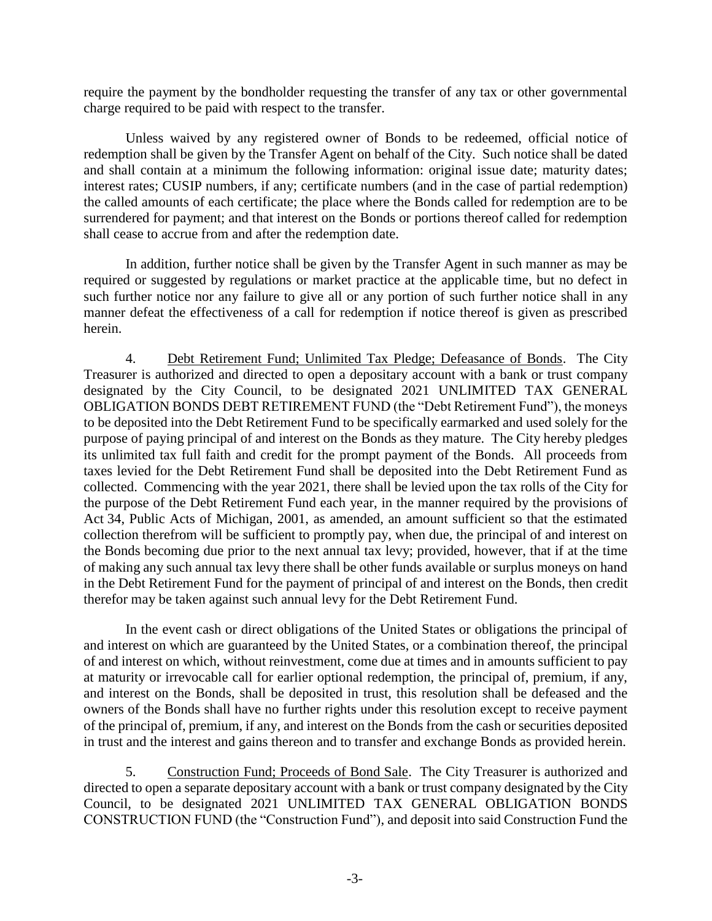require the payment by the bondholder requesting the transfer of any tax or other governmental charge required to be paid with respect to the transfer.

Unless waived by any registered owner of Bonds to be redeemed, official notice of redemption shall be given by the Transfer Agent on behalf of the City. Such notice shall be dated and shall contain at a minimum the following information: original issue date; maturity dates; interest rates; CUSIP numbers, if any; certificate numbers (and in the case of partial redemption) the called amounts of each certificate; the place where the Bonds called for redemption are to be surrendered for payment; and that interest on the Bonds or portions thereof called for redemption shall cease to accrue from and after the redemption date.

In addition, further notice shall be given by the Transfer Agent in such manner as may be required or suggested by regulations or market practice at the applicable time, but no defect in such further notice nor any failure to give all or any portion of such further notice shall in any manner defeat the effectiveness of a call for redemption if notice thereof is given as prescribed herein.

4. Debt Retirement Fund; Unlimited Tax Pledge; Defeasance of Bonds. The City Treasurer is authorized and directed to open a depositary account with a bank or trust company designated by the City Council, to be designated 2021 UNLIMITED TAX GENERAL OBLIGATION BONDS DEBT RETIREMENT FUND (the "Debt Retirement Fund"), the moneys to be deposited into the Debt Retirement Fund to be specifically earmarked and used solely for the purpose of paying principal of and interest on the Bonds as they mature. The City hereby pledges its unlimited tax full faith and credit for the prompt payment of the Bonds. All proceeds from taxes levied for the Debt Retirement Fund shall be deposited into the Debt Retirement Fund as collected. Commencing with the year 2021, there shall be levied upon the tax rolls of the City for the purpose of the Debt Retirement Fund each year, in the manner required by the provisions of Act 34, Public Acts of Michigan, 2001, as amended, an amount sufficient so that the estimated collection therefrom will be sufficient to promptly pay, when due, the principal of and interest on the Bonds becoming due prior to the next annual tax levy; provided, however, that if at the time of making any such annual tax levy there shall be other funds available or surplus moneys on hand in the Debt Retirement Fund for the payment of principal of and interest on the Bonds, then credit therefor may be taken against such annual levy for the Debt Retirement Fund.

In the event cash or direct obligations of the United States or obligations the principal of and interest on which are guaranteed by the United States, or a combination thereof, the principal of and interest on which, without reinvestment, come due at times and in amounts sufficient to pay at maturity or irrevocable call for earlier optional redemption, the principal of, premium, if any, and interest on the Bonds, shall be deposited in trust, this resolution shall be defeased and the owners of the Bonds shall have no further rights under this resolution except to receive payment of the principal of, premium, if any, and interest on the Bonds from the cash or securities deposited in trust and the interest and gains thereon and to transfer and exchange Bonds as provided herein.

5. Construction Fund; Proceeds of Bond Sale. The City Treasurer is authorized and directed to open a separate depositary account with a bank or trust company designated by the City Council, to be designated 2021 UNLIMITED TAX GENERAL OBLIGATION BONDS CONSTRUCTION FUND (the "Construction Fund"), and deposit into said Construction Fund the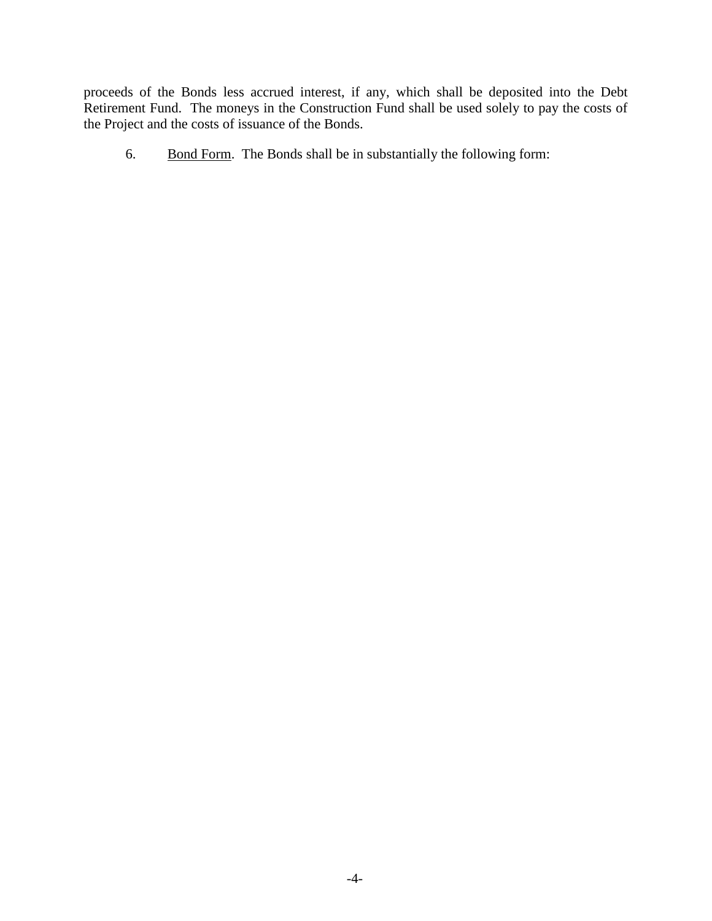proceeds of the Bonds less accrued interest, if any, which shall be deposited into the Debt Retirement Fund. The moneys in the Construction Fund shall be used solely to pay the costs of the Project and the costs of issuance of the Bonds.

6. Bond Form. The Bonds shall be in substantially the following form: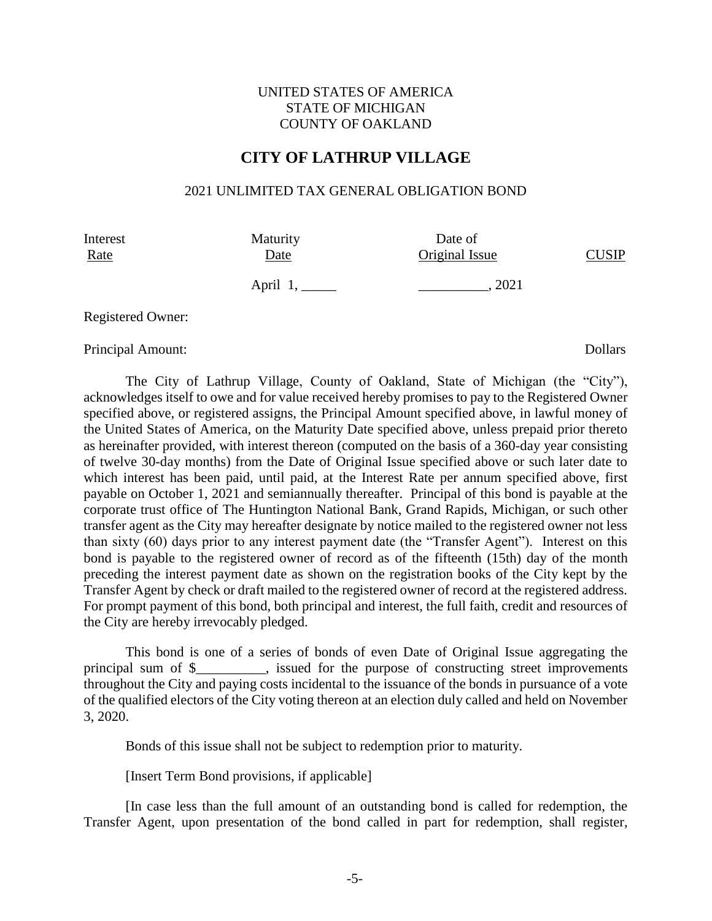## UNITED STATES OF AMERICA STATE OF MICHIGAN COUNTY OF OAKLAND

# **CITY OF LATHRUP VILLAGE**

#### 2021 UNLIMITED TAX GENERAL OBLIGATION BOND

Interest Maturity Date of Rate Date Date Original Issue CUSIP April 1, \_\_\_\_\_ \_\_\_\_\_\_\_\_\_\_, 2021

Registered Owner:

Principal Amount: Dollars

The City of Lathrup Village, County of Oakland, State of Michigan (the "City"), acknowledges itself to owe and for value received hereby promises to pay to the Registered Owner specified above, or registered assigns, the Principal Amount specified above, in lawful money of the United States of America, on the Maturity Date specified above, unless prepaid prior thereto as hereinafter provided, with interest thereon (computed on the basis of a 360-day year consisting of twelve 30-day months) from the Date of Original Issue specified above or such later date to which interest has been paid, until paid, at the Interest Rate per annum specified above, first payable on October 1, 2021 and semiannually thereafter. Principal of this bond is payable at the corporate trust office of The Huntington National Bank, Grand Rapids, Michigan, or such other transfer agent as the City may hereafter designate by notice mailed to the registered owner not less than sixty (60) days prior to any interest payment date (the "Transfer Agent"). Interest on this bond is payable to the registered owner of record as of the fifteenth (15th) day of the month preceding the interest payment date as shown on the registration books of the City kept by the Transfer Agent by check or draft mailed to the registered owner of record at the registered address. For prompt payment of this bond, both principal and interest, the full faith, credit and resources of the City are hereby irrevocably pledged.

This bond is one of a series of bonds of even Date of Original Issue aggregating the principal sum of \$\_\_\_\_\_\_\_\_\_\_, issued for the purpose of constructing street improvements throughout the City and paying costs incidental to the issuance of the bonds in pursuance of a vote of the qualified electors of the City voting thereon at an election duly called and held on November 3, 2020.

Bonds of this issue shall not be subject to redemption prior to maturity.

[Insert Term Bond provisions, if applicable]

[In case less than the full amount of an outstanding bond is called for redemption, the Transfer Agent, upon presentation of the bond called in part for redemption, shall register,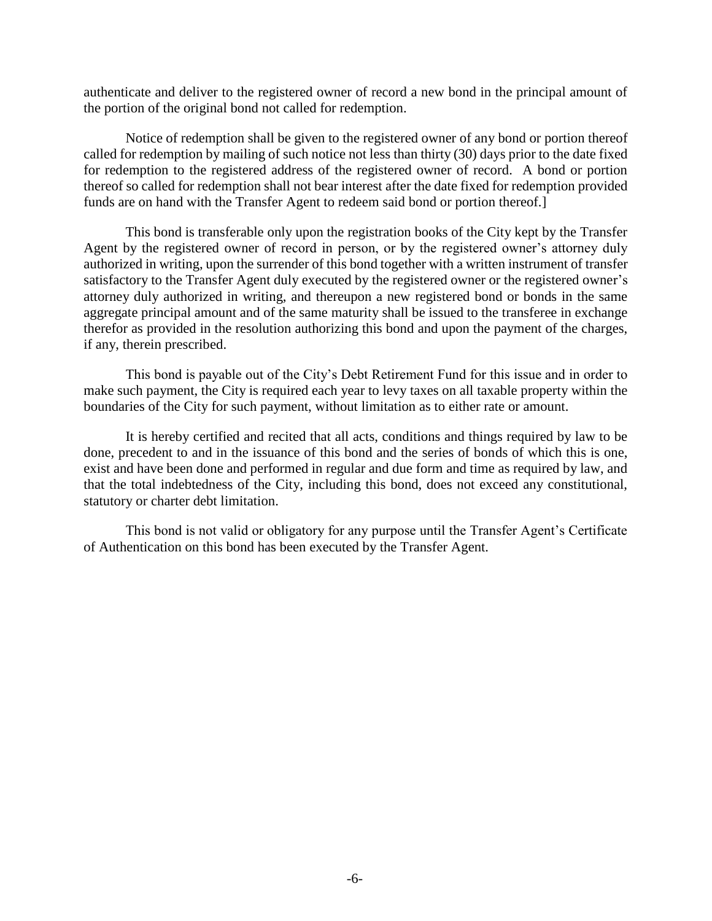authenticate and deliver to the registered owner of record a new bond in the principal amount of the portion of the original bond not called for redemption.

Notice of redemption shall be given to the registered owner of any bond or portion thereof called for redemption by mailing of such notice not less than thirty (30) days prior to the date fixed for redemption to the registered address of the registered owner of record. A bond or portion thereof so called for redemption shall not bear interest after the date fixed for redemption provided funds are on hand with the Transfer Agent to redeem said bond or portion thereof.]

This bond is transferable only upon the registration books of the City kept by the Transfer Agent by the registered owner of record in person, or by the registered owner's attorney duly authorized in writing, upon the surrender of this bond together with a written instrument of transfer satisfactory to the Transfer Agent duly executed by the registered owner or the registered owner's attorney duly authorized in writing, and thereupon a new registered bond or bonds in the same aggregate principal amount and of the same maturity shall be issued to the transferee in exchange therefor as provided in the resolution authorizing this bond and upon the payment of the charges, if any, therein prescribed.

This bond is payable out of the City's Debt Retirement Fund for this issue and in order to make such payment, the City is required each year to levy taxes on all taxable property within the boundaries of the City for such payment, without limitation as to either rate or amount.

It is hereby certified and recited that all acts, conditions and things required by law to be done, precedent to and in the issuance of this bond and the series of bonds of which this is one, exist and have been done and performed in regular and due form and time as required by law, and that the total indebtedness of the City, including this bond, does not exceed any constitutional, statutory or charter debt limitation.

This bond is not valid or obligatory for any purpose until the Transfer Agent's Certificate of Authentication on this bond has been executed by the Transfer Agent.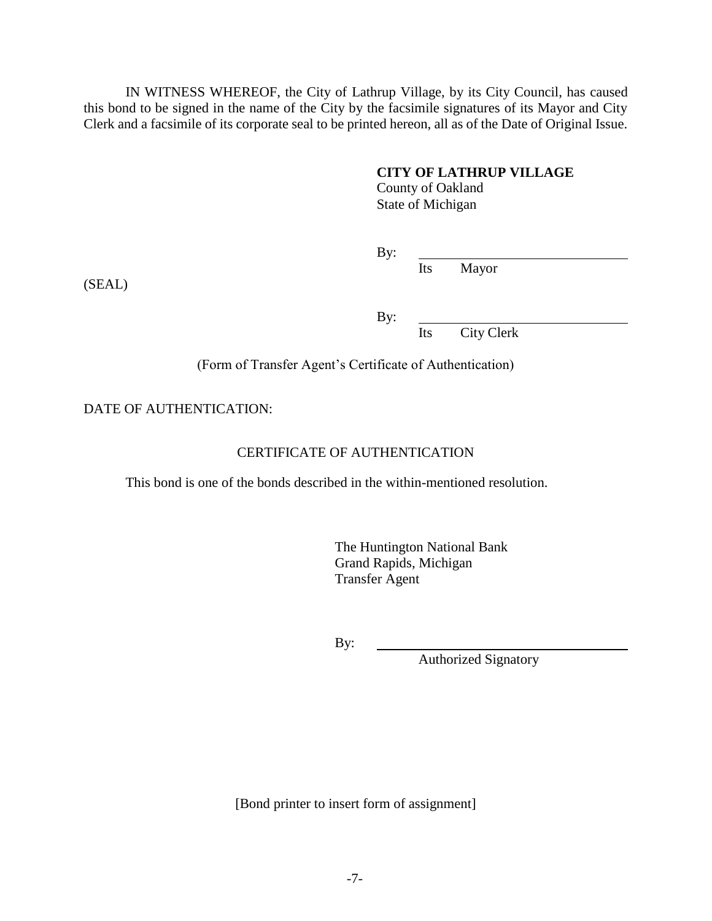IN WITNESS WHEREOF, the City of Lathrup Village, by its City Council, has caused this bond to be signed in the name of the City by the facsimile signatures of its Mayor and City Clerk and a facsimile of its corporate seal to be printed hereon, all as of the Date of Original Issue.

## **CITY OF LATHRUP VILLAGE**

County of Oakland State of Michigan

By:

Its Mayor

(SEAL)

By:

Its City Clerk

(Form of Transfer Agent's Certificate of Authentication)

DATE OF AUTHENTICATION:

# CERTIFICATE OF AUTHENTICATION

This bond is one of the bonds described in the within-mentioned resolution.

The Huntington National Bank Grand Rapids, Michigan Transfer Agent

By:

Authorized Signatory

[Bond printer to insert form of assignment]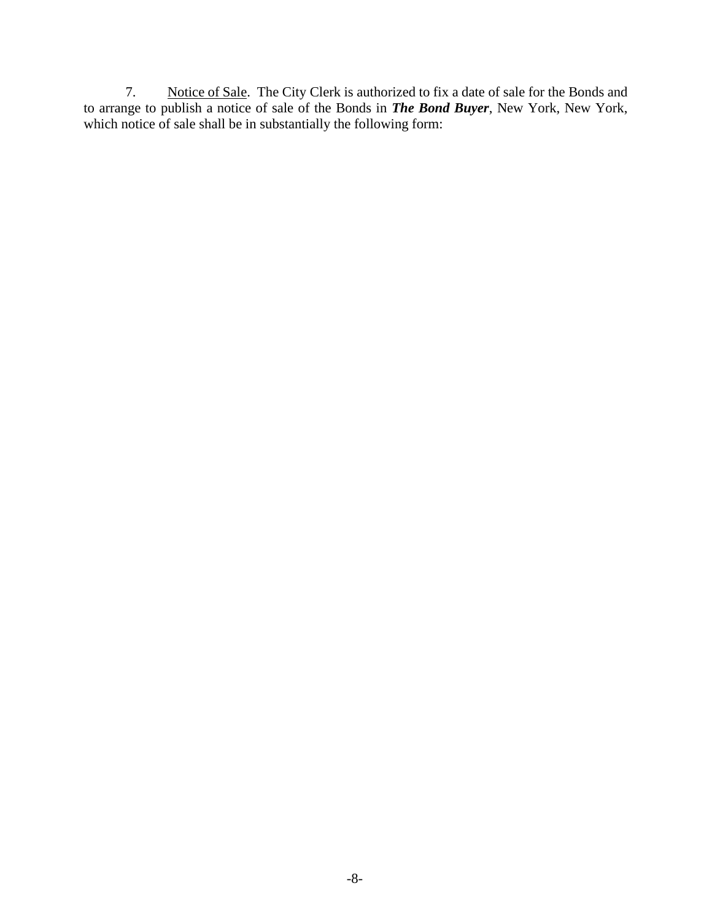7. Notice of Sale. The City Clerk is authorized to fix a date of sale for the Bonds and to arrange to publish a notice of sale of the Bonds in *The Bond Buyer*, New York, New York, which notice of sale shall be in substantially the following form: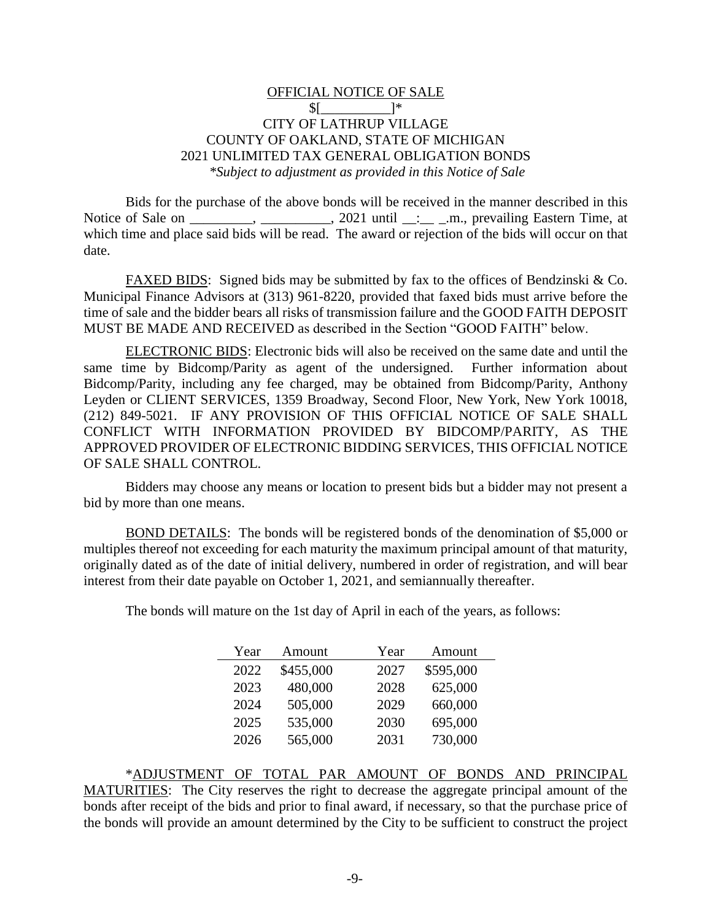## OFFICIAL NOTICE OF SALE  $$$ [  $\frac{1}{2}$ CITY OF LATHRUP VILLAGE COUNTY OF OAKLAND, STATE OF MICHIGAN 2021 UNLIMITED TAX GENERAL OBLIGATION BONDS *\*Subject to adjustment as provided in this Notice of Sale*

Bids for the purchase of the above bonds will be received in the manner described in this Notice of Sale on \_\_\_\_\_\_\_, \_\_\_\_\_\_\_\_, 2021 until \_\_:\_\_\_\_\_.m., prevailing Eastern Time, at which time and place said bids will be read. The award or rejection of the bids will occur on that date.

FAXED BIDS: Signed bids may be submitted by fax to the offices of Bendzinski & Co. Municipal Finance Advisors at (313) 961-8220, provided that faxed bids must arrive before the time of sale and the bidder bears all risks of transmission failure and the GOOD FAITH DEPOSIT MUST BE MADE AND RECEIVED as described in the Section "GOOD FAITH" below.

ELECTRONIC BIDS: Electronic bids will also be received on the same date and until the same time by Bidcomp/Parity as agent of the undersigned. Further information about Bidcomp/Parity, including any fee charged, may be obtained from Bidcomp/Parity, Anthony Leyden or CLIENT SERVICES, 1359 Broadway, Second Floor, New York, New York 10018, (212) 849-5021. IF ANY PROVISION OF THIS OFFICIAL NOTICE OF SALE SHALL CONFLICT WITH INFORMATION PROVIDED BY BIDCOMP/PARITY, AS THE APPROVED PROVIDER OF ELECTRONIC BIDDING SERVICES, THIS OFFICIAL NOTICE OF SALE SHALL CONTROL.

Bidders may choose any means or location to present bids but a bidder may not present a bid by more than one means.

BOND DETAILS: The bonds will be registered bonds of the denomination of \$5,000 or multiples thereof not exceeding for each maturity the maximum principal amount of that maturity, originally dated as of the date of initial delivery, numbered in order of registration, and will bear interest from their date payable on October 1, 2021, and semiannually thereafter.

The bonds will mature on the 1st day of April in each of the years, as follows:

| Year | Amount    | Year | Amount    |
|------|-----------|------|-----------|
| 2022 | \$455,000 | 2027 | \$595,000 |
| 2023 | 480,000   | 2028 | 625,000   |
| 2024 | 505,000   | 2029 | 660,000   |
| 2025 | 535,000   | 2030 | 695,000   |
| 2026 | 565,000   | 2031 | 730,000   |

\*ADJUSTMENT OF TOTAL PAR AMOUNT OF BONDS AND PRINCIPAL MATURITIES: The City reserves the right to decrease the aggregate principal amount of the bonds after receipt of the bids and prior to final award, if necessary, so that the purchase price of the bonds will provide an amount determined by the City to be sufficient to construct the project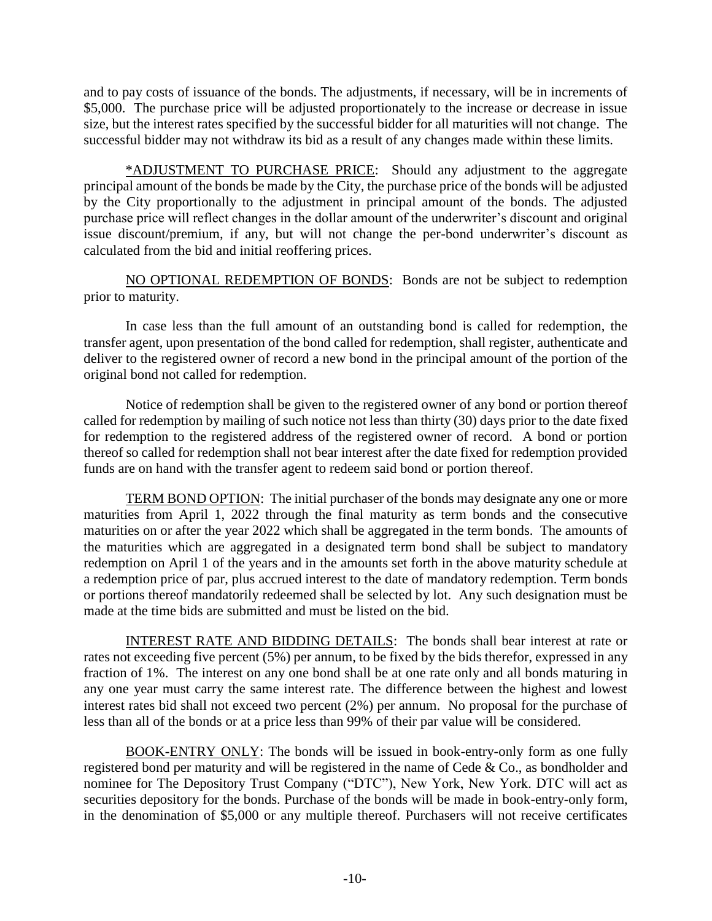and to pay costs of issuance of the bonds. The adjustments, if necessary, will be in increments of \$5,000. The purchase price will be adjusted proportionately to the increase or decrease in issue size, but the interest rates specified by the successful bidder for all maturities will not change. The successful bidder may not withdraw its bid as a result of any changes made within these limits.

\*ADJUSTMENT TO PURCHASE PRICE: Should any adjustment to the aggregate principal amount of the bonds be made by the City, the purchase price of the bonds will be adjusted by the City proportionally to the adjustment in principal amount of the bonds. The adjusted purchase price will reflect changes in the dollar amount of the underwriter's discount and original issue discount/premium, if any, but will not change the per-bond underwriter's discount as calculated from the bid and initial reoffering prices.

NO OPTIONAL REDEMPTION OF BONDS: Bonds are not be subject to redemption prior to maturity.

In case less than the full amount of an outstanding bond is called for redemption, the transfer agent, upon presentation of the bond called for redemption, shall register, authenticate and deliver to the registered owner of record a new bond in the principal amount of the portion of the original bond not called for redemption.

Notice of redemption shall be given to the registered owner of any bond or portion thereof called for redemption by mailing of such notice not less than thirty (30) days prior to the date fixed for redemption to the registered address of the registered owner of record. A bond or portion thereof so called for redemption shall not bear interest after the date fixed for redemption provided funds are on hand with the transfer agent to redeem said bond or portion thereof.

TERM BOND OPTION: The initial purchaser of the bonds may designate any one or more maturities from April 1, 2022 through the final maturity as term bonds and the consecutive maturities on or after the year 2022 which shall be aggregated in the term bonds. The amounts of the maturities which are aggregated in a designated term bond shall be subject to mandatory redemption on April 1 of the years and in the amounts set forth in the above maturity schedule at a redemption price of par, plus accrued interest to the date of mandatory redemption. Term bonds or portions thereof mandatorily redeemed shall be selected by lot. Any such designation must be made at the time bids are submitted and must be listed on the bid.

INTEREST RATE AND BIDDING DETAILS: The bonds shall bear interest at rate or rates not exceeding five percent (5%) per annum, to be fixed by the bids therefor, expressed in any fraction of 1%. The interest on any one bond shall be at one rate only and all bonds maturing in any one year must carry the same interest rate. The difference between the highest and lowest interest rates bid shall not exceed two percent (2%) per annum. No proposal for the purchase of less than all of the bonds or at a price less than 99% of their par value will be considered.

BOOK-ENTRY ONLY: The bonds will be issued in book-entry-only form as one fully registered bond per maturity and will be registered in the name of Cede & Co., as bondholder and nominee for The Depository Trust Company ("DTC"), New York, New York. DTC will act as securities depository for the bonds. Purchase of the bonds will be made in book-entry-only form, in the denomination of \$5,000 or any multiple thereof. Purchasers will not receive certificates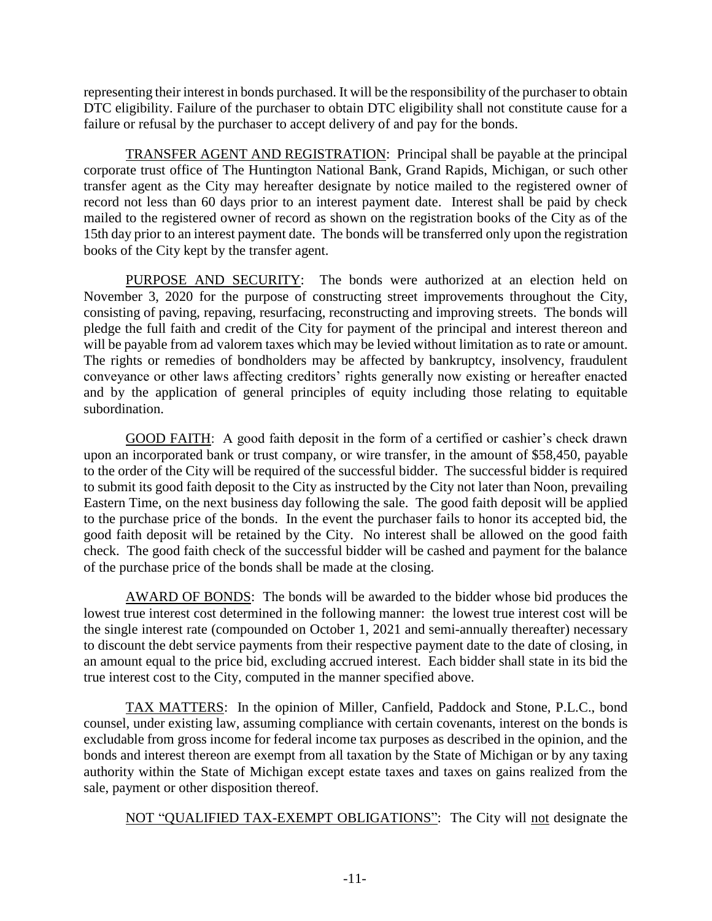representing their interest in bonds purchased. It will be the responsibility of the purchaser to obtain DTC eligibility. Failure of the purchaser to obtain DTC eligibility shall not constitute cause for a failure or refusal by the purchaser to accept delivery of and pay for the bonds.

TRANSFER AGENT AND REGISTRATION: Principal shall be payable at the principal corporate trust office of The Huntington National Bank, Grand Rapids, Michigan, or such other transfer agent as the City may hereafter designate by notice mailed to the registered owner of record not less than 60 days prior to an interest payment date. Interest shall be paid by check mailed to the registered owner of record as shown on the registration books of the City as of the 15th day prior to an interest payment date. The bonds will be transferred only upon the registration books of the City kept by the transfer agent.

PURPOSE AND SECURITY: The bonds were authorized at an election held on November 3, 2020 for the purpose of constructing street improvements throughout the City, consisting of paving, repaving, resurfacing, reconstructing and improving streets. The bonds will pledge the full faith and credit of the City for payment of the principal and interest thereon and will be payable from ad valorem taxes which may be levied without limitation as to rate or amount. The rights or remedies of bondholders may be affected by bankruptcy, insolvency, fraudulent conveyance or other laws affecting creditors' rights generally now existing or hereafter enacted and by the application of general principles of equity including those relating to equitable subordination.

GOOD FAITH: A good faith deposit in the form of a certified or cashier's check drawn upon an incorporated bank or trust company, or wire transfer, in the amount of \$58,450, payable to the order of the City will be required of the successful bidder. The successful bidder is required to submit its good faith deposit to the City as instructed by the City not later than Noon, prevailing Eastern Time, on the next business day following the sale. The good faith deposit will be applied to the purchase price of the bonds. In the event the purchaser fails to honor its accepted bid, the good faith deposit will be retained by the City. No interest shall be allowed on the good faith check. The good faith check of the successful bidder will be cashed and payment for the balance of the purchase price of the bonds shall be made at the closing.

AWARD OF BONDS: The bonds will be awarded to the bidder whose bid produces the lowest true interest cost determined in the following manner: the lowest true interest cost will be the single interest rate (compounded on October 1, 2021 and semi-annually thereafter) necessary to discount the debt service payments from their respective payment date to the date of closing, in an amount equal to the price bid, excluding accrued interest. Each bidder shall state in its bid the true interest cost to the City, computed in the manner specified above.

TAX MATTERS: In the opinion of Miller, Canfield, Paddock and Stone, P.L.C., bond counsel, under existing law, assuming compliance with certain covenants, interest on the bonds is excludable from gross income for federal income tax purposes as described in the opinion, and the bonds and interest thereon are exempt from all taxation by the State of Michigan or by any taxing authority within the State of Michigan except estate taxes and taxes on gains realized from the sale, payment or other disposition thereof.

NOT "QUALIFIED TAX-EXEMPT OBLIGATIONS": The City will not designate the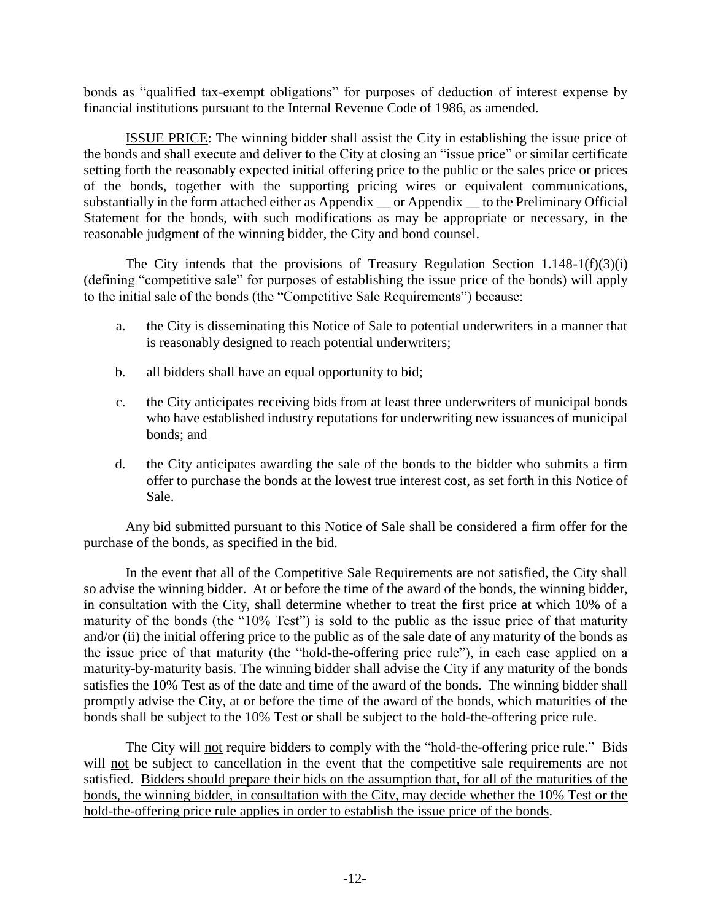bonds as "qualified tax-exempt obligations" for purposes of deduction of interest expense by financial institutions pursuant to the Internal Revenue Code of 1986, as amended.

ISSUE PRICE: The winning bidder shall assist the City in establishing the issue price of the bonds and shall execute and deliver to the City at closing an "issue price" or similar certificate setting forth the reasonably expected initial offering price to the public or the sales price or prices of the bonds, together with the supporting pricing wires or equivalent communications, substantially in the form attached either as Appendix \_\_ or Appendix \_\_ to the Preliminary Official Statement for the bonds, with such modifications as may be appropriate or necessary, in the reasonable judgment of the winning bidder, the City and bond counsel.

The City intends that the provisions of Treasury Regulation Section  $1.148-1(f)(3)(i)$ (defining "competitive sale" for purposes of establishing the issue price of the bonds) will apply to the initial sale of the bonds (the "Competitive Sale Requirements") because:

- a. the City is disseminating this Notice of Sale to potential underwriters in a manner that is reasonably designed to reach potential underwriters;
- b. all bidders shall have an equal opportunity to bid;
- c. the City anticipates receiving bids from at least three underwriters of municipal bonds who have established industry reputations for underwriting new issuances of municipal bonds; and
- d. the City anticipates awarding the sale of the bonds to the bidder who submits a firm offer to purchase the bonds at the lowest true interest cost, as set forth in this Notice of Sale.

Any bid submitted pursuant to this Notice of Sale shall be considered a firm offer for the purchase of the bonds, as specified in the bid.

In the event that all of the Competitive Sale Requirements are not satisfied, the City shall so advise the winning bidder. At or before the time of the award of the bonds, the winning bidder, in consultation with the City, shall determine whether to treat the first price at which 10% of a maturity of the bonds (the "10% Test") is sold to the public as the issue price of that maturity and/or (ii) the initial offering price to the public as of the sale date of any maturity of the bonds as the issue price of that maturity (the "hold-the-offering price rule"), in each case applied on a maturity-by-maturity basis. The winning bidder shall advise the City if any maturity of the bonds satisfies the 10% Test as of the date and time of the award of the bonds. The winning bidder shall promptly advise the City, at or before the time of the award of the bonds, which maturities of the bonds shall be subject to the 10% Test or shall be subject to the hold-the-offering price rule.

The City will not require bidders to comply with the "hold-the-offering price rule." Bids will not be subject to cancellation in the event that the competitive sale requirements are not satisfied. Bidders should prepare their bids on the assumption that, for all of the maturities of the bonds, the winning bidder, in consultation with the City, may decide whether the 10% Test or the hold-the-offering price rule applies in order to establish the issue price of the bonds.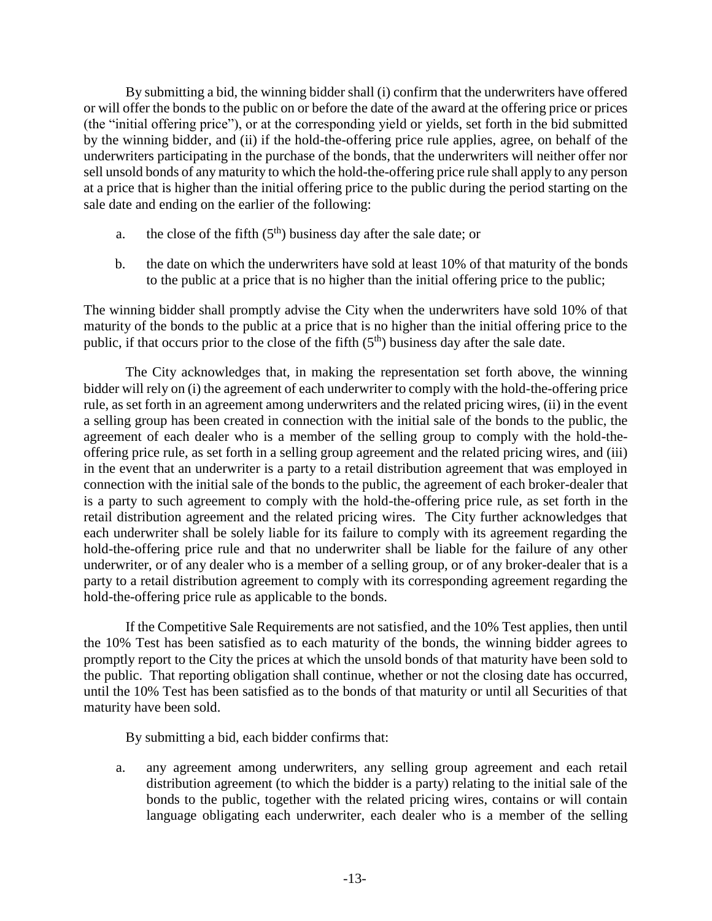By submitting a bid, the winning bidder shall (i) confirm that the underwriters have offered or will offer the bonds to the public on or before the date of the award at the offering price or prices (the "initial offering price"), or at the corresponding yield or yields, set forth in the bid submitted by the winning bidder, and (ii) if the hold-the-offering price rule applies, agree, on behalf of the underwriters participating in the purchase of the bonds, that the underwriters will neither offer nor sell unsold bonds of any maturity to which the hold-the-offering price rule shall apply to any person at a price that is higher than the initial offering price to the public during the period starting on the sale date and ending on the earlier of the following:

- a. the close of the fifth  $(5<sup>th</sup>)$  business day after the sale date; or
- b. the date on which the underwriters have sold at least 10% of that maturity of the bonds to the public at a price that is no higher than the initial offering price to the public;

The winning bidder shall promptly advise the City when the underwriters have sold 10% of that maturity of the bonds to the public at a price that is no higher than the initial offering price to the public, if that occurs prior to the close of the fifth  $(5<sup>th</sup>)$  business day after the sale date.

The City acknowledges that, in making the representation set forth above, the winning bidder will rely on (i) the agreement of each underwriter to comply with the hold-the-offering price rule, as set forth in an agreement among underwriters and the related pricing wires, (ii) in the event a selling group has been created in connection with the initial sale of the bonds to the public, the agreement of each dealer who is a member of the selling group to comply with the hold-theoffering price rule, as set forth in a selling group agreement and the related pricing wires, and (iii) in the event that an underwriter is a party to a retail distribution agreement that was employed in connection with the initial sale of the bonds to the public, the agreement of each broker-dealer that is a party to such agreement to comply with the hold-the-offering price rule, as set forth in the retail distribution agreement and the related pricing wires. The City further acknowledges that each underwriter shall be solely liable for its failure to comply with its agreement regarding the hold-the-offering price rule and that no underwriter shall be liable for the failure of any other underwriter, or of any dealer who is a member of a selling group, or of any broker-dealer that is a party to a retail distribution agreement to comply with its corresponding agreement regarding the hold-the-offering price rule as applicable to the bonds.

If the Competitive Sale Requirements are not satisfied, and the 10% Test applies, then until the 10% Test has been satisfied as to each maturity of the bonds, the winning bidder agrees to promptly report to the City the prices at which the unsold bonds of that maturity have been sold to the public. That reporting obligation shall continue, whether or not the closing date has occurred, until the 10% Test has been satisfied as to the bonds of that maturity or until all Securities of that maturity have been sold.

By submitting a bid, each bidder confirms that:

a. any agreement among underwriters, any selling group agreement and each retail distribution agreement (to which the bidder is a party) relating to the initial sale of the bonds to the public, together with the related pricing wires, contains or will contain language obligating each underwriter, each dealer who is a member of the selling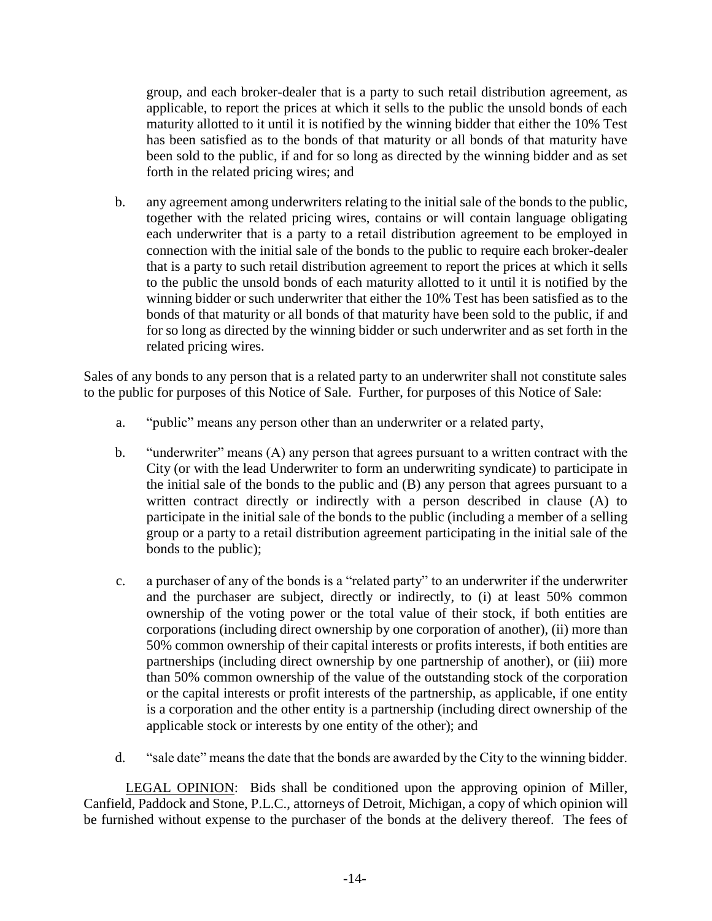group, and each broker-dealer that is a party to such retail distribution agreement, as applicable, to report the prices at which it sells to the public the unsold bonds of each maturity allotted to it until it is notified by the winning bidder that either the 10% Test has been satisfied as to the bonds of that maturity or all bonds of that maturity have been sold to the public, if and for so long as directed by the winning bidder and as set forth in the related pricing wires; and

b. any agreement among underwriters relating to the initial sale of the bonds to the public, together with the related pricing wires, contains or will contain language obligating each underwriter that is a party to a retail distribution agreement to be employed in connection with the initial sale of the bonds to the public to require each broker-dealer that is a party to such retail distribution agreement to report the prices at which it sells to the public the unsold bonds of each maturity allotted to it until it is notified by the winning bidder or such underwriter that either the 10% Test has been satisfied as to the bonds of that maturity or all bonds of that maturity have been sold to the public, if and for so long as directed by the winning bidder or such underwriter and as set forth in the related pricing wires.

Sales of any bonds to any person that is a related party to an underwriter shall not constitute sales to the public for purposes of this Notice of Sale. Further, for purposes of this Notice of Sale:

- a. "public" means any person other than an underwriter or a related party,
- b. "underwriter" means (A) any person that agrees pursuant to a written contract with the City (or with the lead Underwriter to form an underwriting syndicate) to participate in the initial sale of the bonds to the public and (B) any person that agrees pursuant to a written contract directly or indirectly with a person described in clause (A) to participate in the initial sale of the bonds to the public (including a member of a selling group or a party to a retail distribution agreement participating in the initial sale of the bonds to the public);
- c. a purchaser of any of the bonds is a "related party" to an underwriter if the underwriter and the purchaser are subject, directly or indirectly, to (i) at least 50% common ownership of the voting power or the total value of their stock, if both entities are corporations (including direct ownership by one corporation of another), (ii) more than 50% common ownership of their capital interests or profits interests, if both entities are partnerships (including direct ownership by one partnership of another), or (iii) more than 50% common ownership of the value of the outstanding stock of the corporation or the capital interests or profit interests of the partnership, as applicable, if one entity is a corporation and the other entity is a partnership (including direct ownership of the applicable stock or interests by one entity of the other); and
- d. "sale date" means the date that the bonds are awarded by the City to the winning bidder.

LEGAL OPINION: Bids shall be conditioned upon the approving opinion of Miller, Canfield, Paddock and Stone, P.L.C., attorneys of Detroit, Michigan, a copy of which opinion will be furnished without expense to the purchaser of the bonds at the delivery thereof. The fees of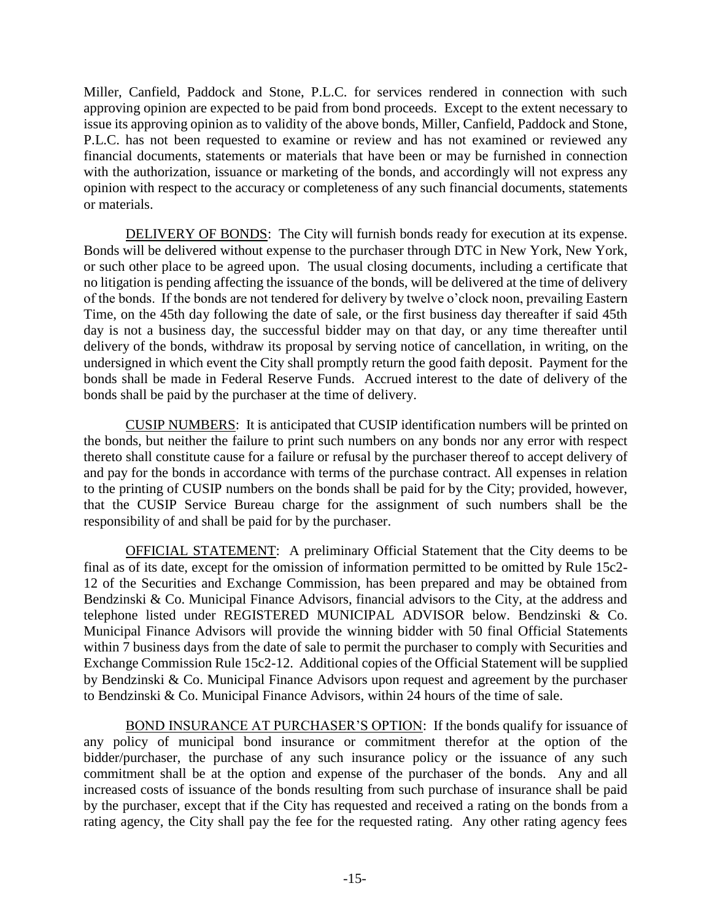Miller, Canfield, Paddock and Stone, P.L.C. for services rendered in connection with such approving opinion are expected to be paid from bond proceeds. Except to the extent necessary to issue its approving opinion as to validity of the above bonds, Miller, Canfield, Paddock and Stone, P.L.C. has not been requested to examine or review and has not examined or reviewed any financial documents, statements or materials that have been or may be furnished in connection with the authorization, issuance or marketing of the bonds, and accordingly will not express any opinion with respect to the accuracy or completeness of any such financial documents, statements or materials.

DELIVERY OF BONDS: The City will furnish bonds ready for execution at its expense. Bonds will be delivered without expense to the purchaser through DTC in New York, New York, or such other place to be agreed upon. The usual closing documents, including a certificate that no litigation is pending affecting the issuance of the bonds, will be delivered at the time of delivery of the bonds. If the bonds are not tendered for delivery by twelve o'clock noon, prevailing Eastern Time, on the 45th day following the date of sale, or the first business day thereafter if said 45th day is not a business day, the successful bidder may on that day, or any time thereafter until delivery of the bonds, withdraw its proposal by serving notice of cancellation, in writing, on the undersigned in which event the City shall promptly return the good faith deposit. Payment for the bonds shall be made in Federal Reserve Funds. Accrued interest to the date of delivery of the bonds shall be paid by the purchaser at the time of delivery.

CUSIP NUMBERS: It is anticipated that CUSIP identification numbers will be printed on the bonds, but neither the failure to print such numbers on any bonds nor any error with respect thereto shall constitute cause for a failure or refusal by the purchaser thereof to accept delivery of and pay for the bonds in accordance with terms of the purchase contract. All expenses in relation to the printing of CUSIP numbers on the bonds shall be paid for by the City; provided, however, that the CUSIP Service Bureau charge for the assignment of such numbers shall be the responsibility of and shall be paid for by the purchaser.

OFFICIAL STATEMENT: A preliminary Official Statement that the City deems to be final as of its date, except for the omission of information permitted to be omitted by Rule 15c2- 12 of the Securities and Exchange Commission, has been prepared and may be obtained from Bendzinski & Co. Municipal Finance Advisors, financial advisors to the City, at the address and telephone listed under REGISTERED MUNICIPAL ADVISOR below. Bendzinski & Co. Municipal Finance Advisors will provide the winning bidder with 50 final Official Statements within 7 business days from the date of sale to permit the purchaser to comply with Securities and Exchange Commission Rule 15c2-12. Additional copies of the Official Statement will be supplied by Bendzinski & Co. Municipal Finance Advisors upon request and agreement by the purchaser to Bendzinski & Co. Municipal Finance Advisors, within 24 hours of the time of sale.

BOND INSURANCE AT PURCHASER'S OPTION: If the bonds qualify for issuance of any policy of municipal bond insurance or commitment therefor at the option of the bidder/purchaser, the purchase of any such insurance policy or the issuance of any such commitment shall be at the option and expense of the purchaser of the bonds. Any and all increased costs of issuance of the bonds resulting from such purchase of insurance shall be paid by the purchaser, except that if the City has requested and received a rating on the bonds from a rating agency, the City shall pay the fee for the requested rating. Any other rating agency fees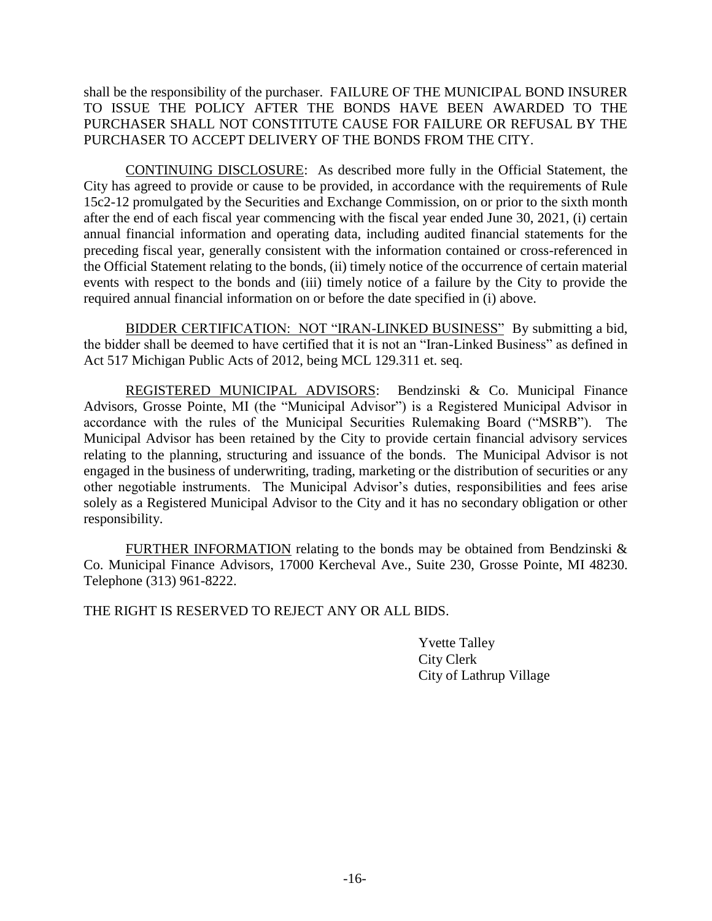shall be the responsibility of the purchaser. FAILURE OF THE MUNICIPAL BOND INSURER TO ISSUE THE POLICY AFTER THE BONDS HAVE BEEN AWARDED TO THE PURCHASER SHALL NOT CONSTITUTE CAUSE FOR FAILURE OR REFUSAL BY THE PURCHASER TO ACCEPT DELIVERY OF THE BONDS FROM THE CITY.

CONTINUING DISCLOSURE: As described more fully in the Official Statement, the City has agreed to provide or cause to be provided, in accordance with the requirements of Rule 15c2-12 promulgated by the Securities and Exchange Commission, on or prior to the sixth month after the end of each fiscal year commencing with the fiscal year ended June 30, 2021, (i) certain annual financial information and operating data, including audited financial statements for the preceding fiscal year, generally consistent with the information contained or cross-referenced in the Official Statement relating to the bonds, (ii) timely notice of the occurrence of certain material events with respect to the bonds and (iii) timely notice of a failure by the City to provide the required annual financial information on or before the date specified in (i) above.

BIDDER CERTIFICATION: NOT "IRAN-LINKED BUSINESS" By submitting a bid, the bidder shall be deemed to have certified that it is not an "Iran-Linked Business" as defined in Act 517 Michigan Public Acts of 2012, being MCL 129.311 et. seq.

REGISTERED MUNICIPAL ADVISORS: Bendzinski & Co. Municipal Finance Advisors, Grosse Pointe, MI (the "Municipal Advisor") is a Registered Municipal Advisor in accordance with the rules of the Municipal Securities Rulemaking Board ("MSRB"). The Municipal Advisor has been retained by the City to provide certain financial advisory services relating to the planning, structuring and issuance of the bonds. The Municipal Advisor is not engaged in the business of underwriting, trading, marketing or the distribution of securities or any other negotiable instruments. The Municipal Advisor's duties, responsibilities and fees arise solely as a Registered Municipal Advisor to the City and it has no secondary obligation or other responsibility.

FURTHER INFORMATION relating to the bonds may be obtained from Bendzinski & Co. Municipal Finance Advisors, 17000 Kercheval Ave., Suite 230, Grosse Pointe, MI 48230. Telephone (313) 961-8222.

THE RIGHT IS RESERVED TO REJECT ANY OR ALL BIDS.

Yvette Talley City Clerk City of Lathrup Village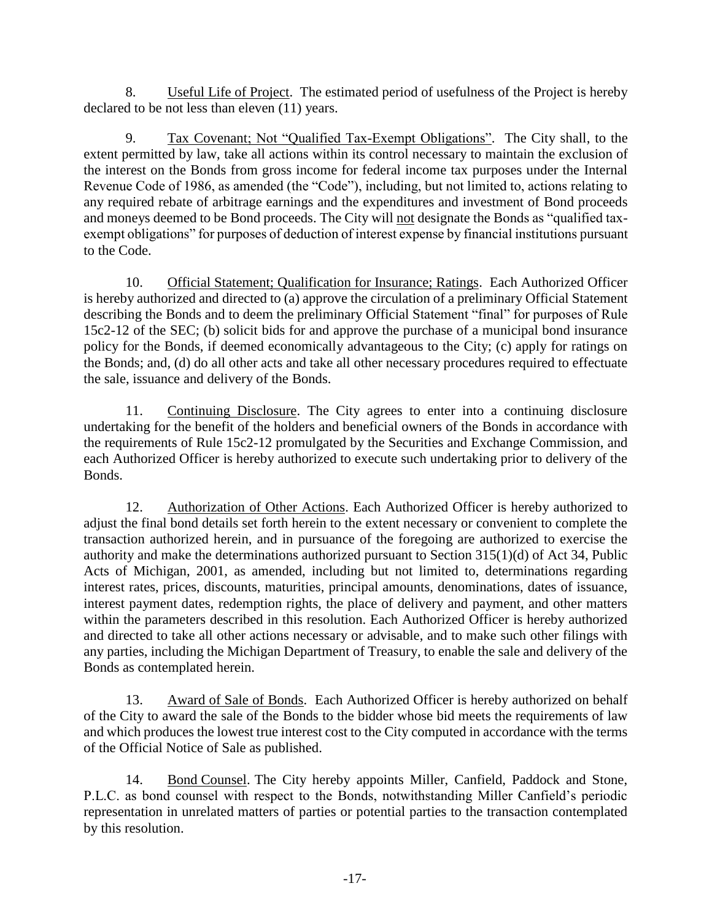8. Useful Life of Project. The estimated period of usefulness of the Project is hereby declared to be not less than eleven (11) years.

9. Tax Covenant; Not "Qualified Tax-Exempt Obligations". The City shall, to the extent permitted by law, take all actions within its control necessary to maintain the exclusion of the interest on the Bonds from gross income for federal income tax purposes under the Internal Revenue Code of 1986, as amended (the "Code"), including, but not limited to, actions relating to any required rebate of arbitrage earnings and the expenditures and investment of Bond proceeds and moneys deemed to be Bond proceeds. The City will not designate the Bonds as "qualified taxexempt obligations" for purposes of deduction of interest expense by financial institutions pursuant to the Code.

10. Official Statement; Qualification for Insurance; Ratings. Each Authorized Officer is hereby authorized and directed to (a) approve the circulation of a preliminary Official Statement describing the Bonds and to deem the preliminary Official Statement "final" for purposes of Rule 15c2-12 of the SEC; (b) solicit bids for and approve the purchase of a municipal bond insurance policy for the Bonds, if deemed economically advantageous to the City; (c) apply for ratings on the Bonds; and, (d) do all other acts and take all other necessary procedures required to effectuate the sale, issuance and delivery of the Bonds.

11. Continuing Disclosure. The City agrees to enter into a continuing disclosure undertaking for the benefit of the holders and beneficial owners of the Bonds in accordance with the requirements of Rule 15c2-12 promulgated by the Securities and Exchange Commission, and each Authorized Officer is hereby authorized to execute such undertaking prior to delivery of the Bonds.

12. Authorization of Other Actions. Each Authorized Officer is hereby authorized to adjust the final bond details set forth herein to the extent necessary or convenient to complete the transaction authorized herein, and in pursuance of the foregoing are authorized to exercise the authority and make the determinations authorized pursuant to Section 315(1)(d) of Act 34, Public Acts of Michigan, 2001, as amended, including but not limited to, determinations regarding interest rates, prices, discounts, maturities, principal amounts, denominations, dates of issuance, interest payment dates, redemption rights, the place of delivery and payment, and other matters within the parameters described in this resolution. Each Authorized Officer is hereby authorized and directed to take all other actions necessary or advisable, and to make such other filings with any parties, including the Michigan Department of Treasury, to enable the sale and delivery of the Bonds as contemplated herein.

13. Award of Sale of Bonds. Each Authorized Officer is hereby authorized on behalf of the City to award the sale of the Bonds to the bidder whose bid meets the requirements of law and which produces the lowest true interest cost to the City computed in accordance with the terms of the Official Notice of Sale as published.

14. Bond Counsel. The City hereby appoints Miller, Canfield, Paddock and Stone, P.L.C. as bond counsel with respect to the Bonds, notwithstanding Miller Canfield's periodic representation in unrelated matters of parties or potential parties to the transaction contemplated by this resolution.